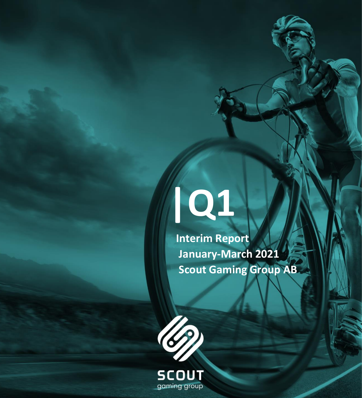# **|Q1**

 **Interim Report January-March 2021 Scout Gaming Group AB**

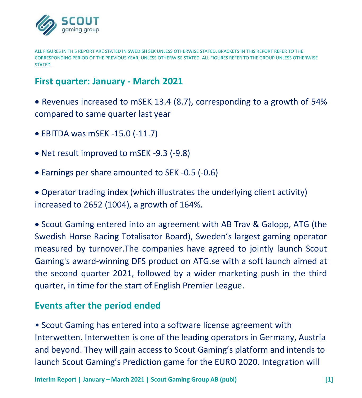

ALL FIGURES IN THIS REPORT ARE STATED IN SWEDISH SEK UNLESS OTHERWISE STATED. BRACKETS IN THIS REPORT REFER TO THE CORRESPONDING PERIOD OF THE PREVIOUS YEAR, UNLESS OTHERWISE STATED. ALL FIGURES REFER TO THE GROUP UNLESS OTHERWISE STATED.

# **First quarter: January - March 2021**

• Revenues increased to mSEK 13.4 (8.7), corresponding to a growth of 54% compared to same quarter last year

- EBITDA was mSEK -15.0 (-11.7)
- Net result improved to mSEK -9.3 (-9.8)
- Earnings per share amounted to SEK -0.5 (-0.6)

• Operator trading index (which illustrates the underlying client activity) increased to 2652 (1004), a growth of 164%.

• Scout Gaming entered into an agreement with AB Trav & Galopp, ATG (the Swedish Horse Racing Totalisator Board), Sweden's largest gaming operator measured by turnover.The companies have agreed to jointly launch Scout Gaming's award-winning DFS product on ATG.se with a soft launch aimed at the second quarter 2021, followed by a wider marketing push in the third quarter, in time for the start of English Premier League.

# **Events after the period ended**

• Scout Gaming has entered into a software license agreement with Interwetten. Interwetten is one of the leading operators in Germany, Austria and beyond. They will gain access to Scout Gaming's platform and intends to launch Scout Gaming's Prediction game for the EURO 2020. Integration will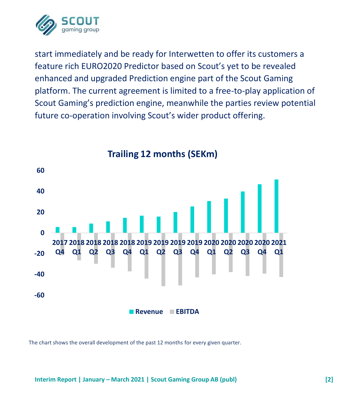

start immediately and be ready for Interwetten to offer its customers a feature rich EURO2020 Predictor based on Scout's yet to be revealed enhanced and upgraded Prediction engine part of the Scout Gaming platform. The current agreement is limited to a free-to-play application of Scout Gaming's prediction engine, meanwhile the parties review potential future co-operation involving Scout's wider product offering.



**Trailing 12 months (SEKm)**

The chart shows the overall development of the past 12 months for every given quarter.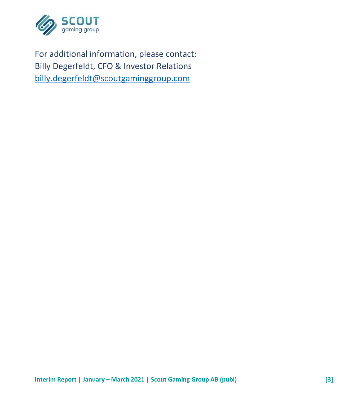

For additional information, please contact: Billy Degerfeldt, CFO & Investor Relations [billy.degerfeldt@scoutgaminggroup.com](mailto:billy.degerfeldt@scoutgaminggroup.com)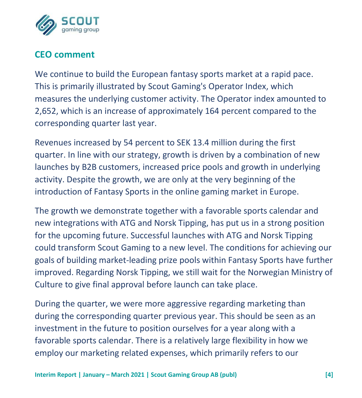

# **CEO comment**

We continue to build the European fantasy sports market at a rapid pace. This is primarily illustrated by Scout Gaming's Operator Index, which measures the underlying customer activity. The Operator index amounted to 2,652, which is an increase of approximately 164 percent compared to the corresponding quarter last year.

Revenues increased by 54 percent to SEK 13.4 million during the first quarter. In line with our strategy, growth is driven by a combination of new launches by B2B customers, increased price pools and growth in underlying activity. Despite the growth, we are only at the very beginning of the introduction of Fantasy Sports in the online gaming market in Europe.

The growth we demonstrate together with a favorable sports calendar and new integrations with ATG and Norsk Tipping, has put us in a strong position for the upcoming future. Successful launches with ATG and Norsk Tipping could transform Scout Gaming to a new level. The conditions for achieving our goals of building market-leading prize pools within Fantasy Sports have further improved. Regarding Norsk Tipping, we still wait for the Norwegian Ministry of Culture to give final approval before launch can take place.

During the quarter, we were more aggressive regarding marketing than during the corresponding quarter previous year. This should be seen as an investment in the future to position ourselves for a year along with a favorable sports calendar. There is a relatively large flexibility in how we employ our marketing related expenses, which primarily refers to our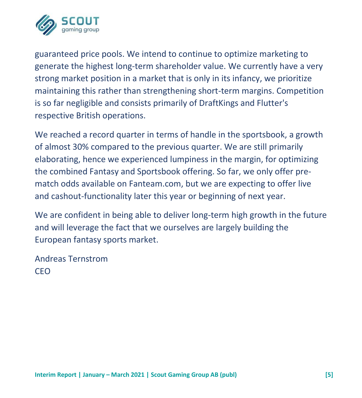

guaranteed price pools. We intend to continue to optimize marketing to generate the highest long-term shareholder value. We currently have a very strong market position in a market that is only in its infancy, we prioritize maintaining this rather than strengthening short-term margins. Competition is so far negligible and consists primarily of DraftKings and Flutter's respective British operations.

We reached a record quarter in terms of handle in the sportsbook, a growth of almost 30% compared to the previous quarter. We are still primarily elaborating, hence we experienced lumpiness in the margin, for optimizing the combined Fantasy and Sportsbook offering. So far, we only offer prematch odds available on Fanteam.com, but we are expecting to offer live and cashout-functionality later this year or beginning of next year.

We are confident in being able to deliver long-term high growth in the future and will leverage the fact that we ourselves are largely building the European fantasy sports market.

Andreas Ternstrom CEO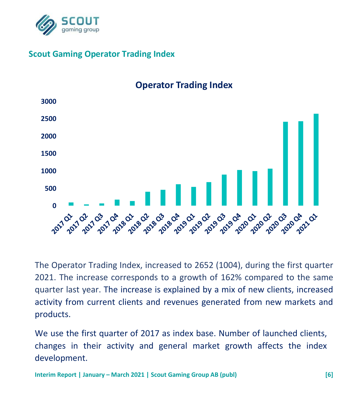

## **Scout Gaming Operator Trading Index**



**Operator Trading Index**

The Operator Trading Index, increased to 2652 (1004), during the first quarter 2021. The increase corresponds to a growth of 162% compared to the same quarter last year. The increase is explained by a mix of new clients, increased activity from current clients and revenues generated from new markets and products.

We use the first quarter of 2017 as index base. Number of launched clients, changes in their activity and general market growth affects the index development.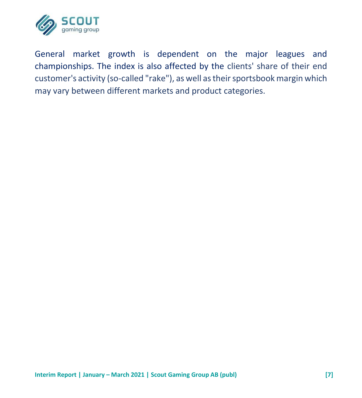

General market growth is dependent on the major leagues and championships. The index is also affected by the clients' share of their end customer's activity (so-called "rake"), as well as their sportsbook margin which may vary between different markets and product categories.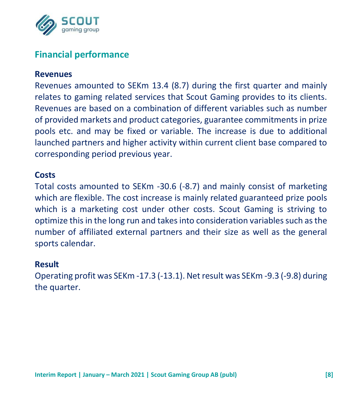

# **Financial performance**

#### **Revenues**

Revenues amounted to SEKm 13.4 (8.7) during the first quarter and mainly relates to gaming related services that Scout Gaming provides to its clients. Revenues are based on a combination of different variables such as number of provided markets and product categories, guarantee commitments in prize pools etc. and may be fixed or variable. The increase is due to additional launched partners and higher activity within current client base compared to corresponding period previous year.

#### **Costs**

Total costs amounted to SEKm -30.6 (-8.7) and mainly consist of marketing which are flexible. The cost increase is mainly related guaranteed prize pools which is a marketing cost under other costs. Scout Gaming is striving to optimize this in the long run and takes into consideration variables such as the number of affiliated external partners and their size as well as the general sports calendar.

#### **Result**

Operating profit was SEKm -17.3 (-13.1). Net result was SEKm -9.3 (-9.8) during the quarter.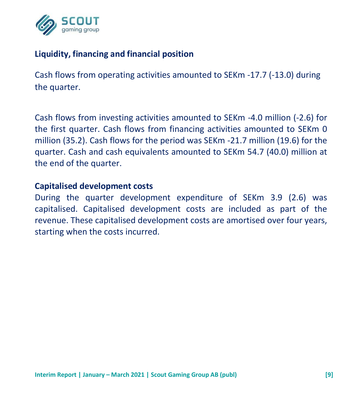

## **Liquidity, financing and financial position**

Cash flows from operating activities amounted to SEKm -17.7 (-13.0) during the quarter.

Cash flows from investing activities amounted to SEKm -4.0 million (-2.6) for the first quarter. Cash flows from financing activities amounted to SEKm 0 million (35.2). Cash flows for the period was SEKm -21.7 million (19.6) for the quarter. Cash and cash equivalents amounted to SEKm 54.7 (40.0) million at the end of the quarter.

#### **Capitalised development costs**

During the quarter development expenditure of SEKm 3.9 (2.6) was capitalised. Capitalised development costs are included as part of the revenue. These capitalised development costs are amortised over four years, starting when the costs incurred.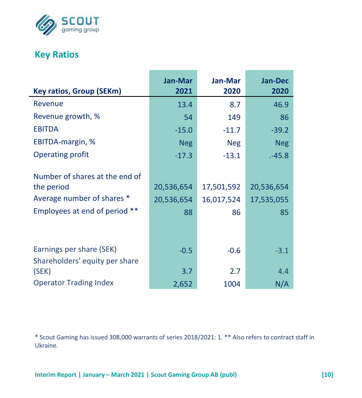

# **Key Ratios**

| <b>Key ratios, Group (SEKm)</b> | Jan-Mar<br>2021 | Jan-Mar<br>2020 | <b>Jan-Dec</b><br>2020 |
|---------------------------------|-----------------|-----------------|------------------------|
| Revenue                         | 13.4            | 8.7             | 46.9                   |
| Revenue growth, %               | 54              | 149             | 86                     |
| <b>EBITDA</b>                   |                 |                 |                        |
|                                 | $-15.0$         | $-11.7$         | $-39.2$                |
| EBITDA-margin, %                | <b>Neg</b>      | <b>Neg</b>      | <b>Neg</b>             |
| Operating profit                | $-17.3$         | $-13.1$         | .45.8                  |
|                                 |                 |                 |                        |
| Number of shares at the end of  |                 |                 |                        |
| the period                      | 20,536,654      | 17,501,592      | 20,536,654             |
| Average number of shares *      | 20,536,654      | 16,017,524      | 17,535,055             |
| Employees at end of period **   | 88              | 86              | 85                     |
|                                 |                 |                 |                        |
|                                 |                 |                 |                        |
| Earnings per share (SEK)        | $-0.5$          | $-0.6$          | $-3.1$                 |
| Shareholders' equity per share  |                 |                 |                        |
| (SEK)                           | 3.7             | 2.7             | 4.4                    |
| <b>Operator Trading Index</b>   | 2,652           | 1004            | N/A                    |

\* Scout Gaming has issued 308,000 warrants of series 2018/2021: 1. \*\* Also refers to contract staff in Ukraine.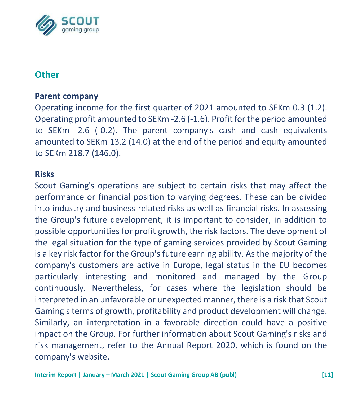

# **Other**

#### **Parent company**

Operating income for the first quarter of 2021 amounted to SEKm 0.3 (1.2). Operating profit amounted to SEKm -2.6 (-1.6). Profit for the period amounted to SEKm -2.6 (-0.2). The parent company's cash and cash equivalents amounted to SEKm 13.2 (14.0) at the end of the period and equity amounted to SEKm 218.7 (146.0).

#### **Risks**

Scout Gaming's operations are subject to certain risks that may affect the performance or financial position to varying degrees. These can be divided into industry and business-related risks as well as financial risks. In assessing the Group's future development, it is important to consider, in addition to possible opportunities for profit growth, the risk factors. The development of the legal situation for the type of gaming services provided by Scout Gaming is a key risk factor for the Group's future earning ability. As the majority of the company's customers are active in Europe, legal status in the EU becomes particularly interesting and monitored and managed by the Group continuously. Nevertheless, for cases where the legislation should be interpreted in an unfavorable or unexpected manner, there is a risk that Scout Gaming's terms of growth, profitability and product development will change. Similarly, an interpretation in a favorable direction could have a positive impact on the Group. For further information about Scout Gaming's risks and risk management, refer to the Annual Report 2020, which is found on the company's website.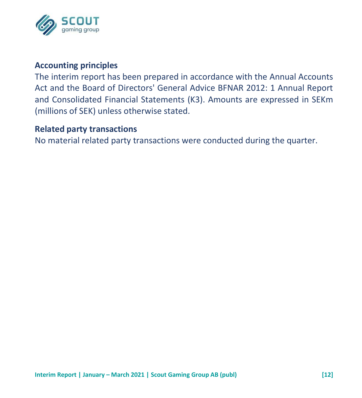

#### **Accounting principles**

The interim report has been prepared in accordance with the Annual Accounts Act and the Board of Directors' General Advice BFNAR 2012: 1 Annual Report and Consolidated Financial Statements (K3). Amounts are expressed in SEKm (millions of SEK) unless otherwise stated.

#### **Related party transactions**

No material related party transactions were conducted during the quarter.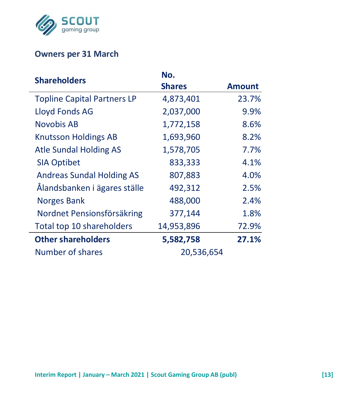

## **Owners per 31 March**

| <b>Shareholders</b>                | No.           |               |
|------------------------------------|---------------|---------------|
|                                    | <b>Shares</b> | <b>Amount</b> |
| <b>Topline Capital Partners LP</b> | 4,873,401     | 23.7%         |
| Lloyd Fonds AG                     | 2,037,000     | 9.9%          |
| Novobis AB                         | 1,772,158     | 8.6%          |
| <b>Knutsson Holdings AB</b>        | 1,693,960     | 8.2%          |
| Atle Sundal Holding AS             | 1,578,705     | 7.7%          |
| <b>SIA Optibet</b>                 | 833,333       | 4.1%          |
| <b>Andreas Sundal Holding AS</b>   | 807,883       | 4.0%          |
| Ålandsbanken i ägares ställe       | 492,312       | 2.5%          |
| <b>Norges Bank</b>                 | 488,000       | 2.4%          |
| Nordnet Pensionsförsäkring         | 377,144       | 1.8%          |
| Total top 10 shareholders          | 14,953,896    | 72.9%         |
| <b>Other shareholders</b>          | 5,582,758     | 27.1%         |
| Number of shares                   | 20,536,654    |               |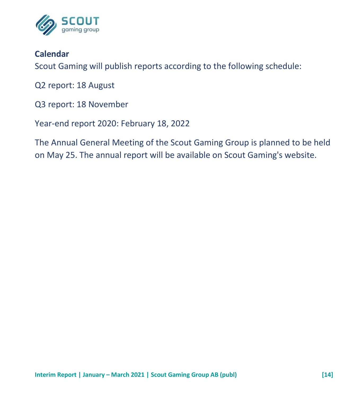

# **Calendar**

Scout Gaming will publish reports according to the following schedule:

Q2 report: 18 August

Q3 report: 18 November

Year-end report 2020: February 18, 2022

The Annual General Meeting of the Scout Gaming Group is planned to be held on May 25. The annual report will be available on Scout Gaming's website.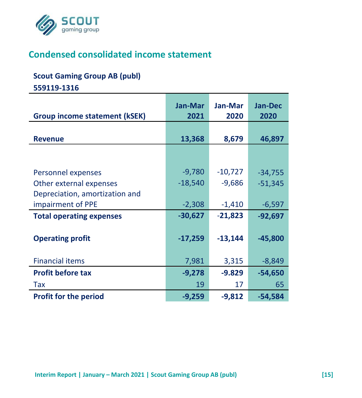

# **Condensed consolidated income statement**

#### **Scout Gaming Group AB (publ)**

**559119-1316**

|                                 | Jan-Mar   | Jan-Mar   | <b>Jan-Dec</b> |
|---------------------------------|-----------|-----------|----------------|
| Group income statement (kSEK)   | 2021      | 2020      | 2020           |
| <b>Revenue</b>                  | 13,368    | 8,679     | 46,897         |
|                                 |           |           |                |
| Personnel expenses              | $-9,780$  | $-10,727$ | $-34,755$      |
| Other external expenses         | $-18,540$ | $-9,686$  | $-51,345$      |
| Depreciation, amortization and  |           |           |                |
| impairment of PPE               | $-2,308$  | $-1,410$  | $-6,597$       |
| <b>Total operating expenses</b> | $-30,627$ | $-21,823$ | $-92,697$      |
|                                 |           |           |                |
| <b>Operating profit</b>         | $-17,259$ | $-13,144$ | $-45,800$      |
|                                 |           |           |                |
| <b>Financial items</b>          | 7,981     | 3,315     | $-8,849$       |
| <b>Profit before tax</b>        | $-9,278$  | $-9.829$  | $-54,650$      |
| Tax                             | 19        | 17        | 65             |
| <b>Profit for the period</b>    | $-9,259$  | $-9,812$  | -54,584        |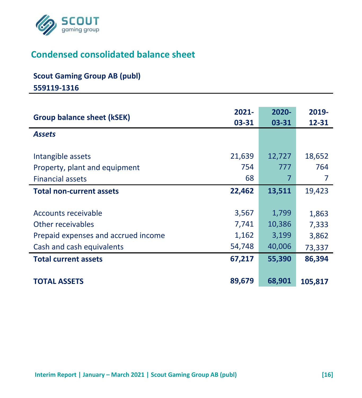

# **Condensed consolidated balance sheet**

#### **Scout Gaming Group AB (publ)**

**559119-1316**

| <b>Group balance sheet (kSEK)</b>                                                                            | $2021 -$<br>03-31                 | $2020 -$<br>03-31                  | 2019-<br>12-31                    |
|--------------------------------------------------------------------------------------------------------------|-----------------------------------|------------------------------------|-----------------------------------|
| <b>Assets</b>                                                                                                |                                   |                                    |                                   |
| Intangible assets<br>Property, plant and equipment<br><b>Financial assets</b>                                | 21,639<br>754<br>68               | 12,727<br>777<br>7                 | 18,652<br>764                     |
| <b>Total non-current assets</b>                                                                              | 22,462                            | 13,511                             | 19,423                            |
| Accounts receivable<br>Other receivables<br>Prepaid expenses and accrued income<br>Cash and cash equivalents | 3,567<br>7,741<br>1,162<br>54,748 | 1,799<br>10,386<br>3,199<br>40,006 | 1,863<br>7,333<br>3,862<br>73,337 |
| <b>Total current assets</b>                                                                                  | 67,217                            | 55,390                             | 86,394                            |
| <b>TOTAL ASSETS</b>                                                                                          | 89,679                            | 68,901                             | 105,817                           |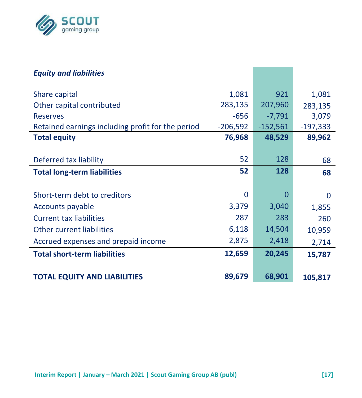

| <b>Equity and liabilities</b>                     |            |            |            |
|---------------------------------------------------|------------|------------|------------|
| Share capital                                     | 1,081      | 921        | 1,081      |
| Other capital contributed                         | 283,135    | 207,960    | 283,135    |
| <b>Reserves</b>                                   | $-656$     | $-7,791$   | 3,079      |
| Retained earnings including profit for the period | $-206,592$ | $-152,561$ | $-197,333$ |
| <b>Total equity</b>                               | 76,968     | 48,529     | 89,962     |
|                                                   |            |            |            |
| Deferred tax liability                            | 52         | 128        | 68         |
| <b>Total long-term liabilities</b>                | 52         | 128        | 68         |
|                                                   |            |            |            |
| Short-term debt to creditors                      | 0          | $\Omega$   | 0          |
| Accounts payable                                  | 3,379      | 3,040      | 1,855      |
| <b>Current tax liabilities</b>                    | 287        | 283        | 260        |
| Other current liabilities                         | 6,118      | 14,504     | 10,959     |
| Accrued expenses and prepaid income               | 2,875      | 2,418      | 2,714      |
| <b>Total short-term liabilities</b>               | 12,659     | 20,245     | 15,787     |
|                                                   |            |            |            |
| <b>TOTAL EQUITY AND LIABILITIES</b>               | 89,679     | 68,901     | 105,817    |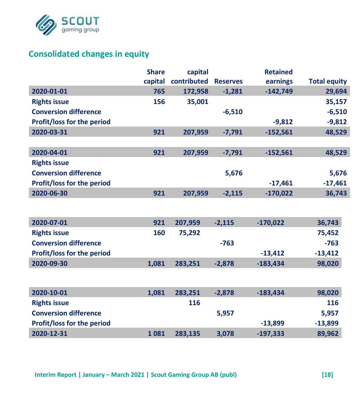

# **Consolidated changes in equity**

|                              | <b>Share</b> | capital     |                 | <b>Retained</b> |                     |
|------------------------------|--------------|-------------|-----------------|-----------------|---------------------|
|                              | capital      | contributed | <b>Reserves</b> | earnings        | <b>Total equity</b> |
| 2020-01-01                   | 765          | 172,958     | $-1,281$        | $-142,749$      | 29,694              |
| <b>Rights issue</b>          | 156          | 35,001      |                 |                 | 35,157              |
| <b>Conversion difference</b> |              |             | $-6,510$        |                 | $-6,510$            |
| Profit/loss for the period   |              |             |                 | $-9,812$        | $-9,812$            |
| 2020-03-31                   | 921          | 207,959     | $-7,791$        | $-152,561$      | 48,529              |
|                              |              |             |                 |                 |                     |
| 2020-04-01                   | 921          | 207,959     | $-7,791$        | $-152,561$      | 48,529              |
| <b>Rights issue</b>          |              |             |                 |                 |                     |
| <b>Conversion difference</b> |              |             | 5,676           |                 | 5,676               |
| Profit/loss for the period   |              |             |                 | $-17,461$       | $-17,461$           |
| 2020-06-30                   | 921          | 207,959     | $-2.115$        | $-170.022$      | 36,743              |
|                              |              |             |                 |                 |                     |
|                              |              |             |                 |                 |                     |
| 2020-07-01                   | 921          | 207,959     | $-2.115$        | $-170.022$      | 36,743              |
| <b>Rights issue</b>          | 160          | 75,292      |                 |                 | 75,452              |
| <b>Conversion difference</b> |              |             | $-763$          |                 | $-763$              |
| Profit/loss for the period   |              |             |                 | $-13,412$       | $-13,412$           |
| 2020-09-30                   | 1,081        | 283,251     | $-2,878$        | $-183,434$      | 98,020              |
|                              |              |             |                 |                 |                     |
|                              |              |             |                 |                 |                     |
| 2020-10-01                   | 1,081        | 283,251     | $-2,878$        | $-183,434$      | 98,020              |
| <b>Rights issue</b>          |              | 116         |                 |                 | 116                 |
| <b>Conversion difference</b> |              |             | 5,957           |                 | 5,957               |
| Profit/loss for the period   |              |             |                 | $-13,899$       | $-13,899$           |
| 2020-12-31                   | 1081         | 283,135     | 3,078           | $-197,333$      | 89,962              |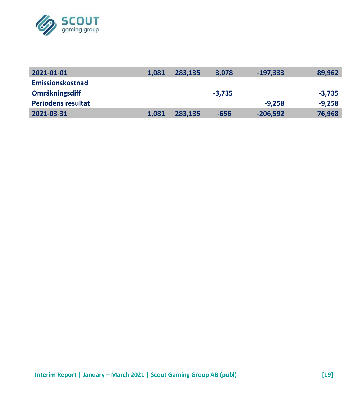

| 2021-01-01                | 1.081 | 283.135 | 3.078    | $-197.333$ | 89,962   |
|---------------------------|-------|---------|----------|------------|----------|
| <b>Emissionskostnad</b>   |       |         |          |            |          |
| Omräkningsdiff            |       |         | $-3.735$ |            | $-3.735$ |
| <b>Periodens resultat</b> |       |         |          | $-9.258$   | $-9.258$ |
| 2021-03-31                | 1.081 | 283.135 | $-656$   | $-206.592$ | 76,968   |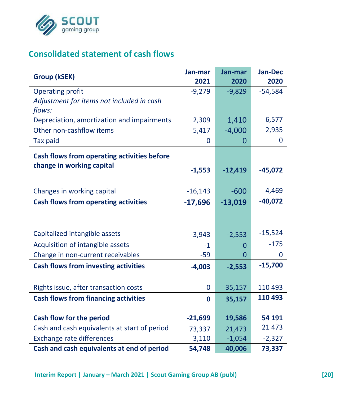

# **Consolidated statement of cash flows**

| Group (kSEK)                                 | Jan-mar   | Jan-mar   | <b>Jan-Dec</b> |
|----------------------------------------------|-----------|-----------|----------------|
|                                              | 2021      | 2020      | 2020           |
| <b>Operating profit</b>                      | $-9,279$  | $-9,829$  | $-54,584$      |
| Adjustment for items not included in cash    |           |           |                |
| flows:                                       |           |           |                |
| Depreciation, amortization and impairments   | 2,309     | 1,410     | 6,577          |
| Other non-cashflow items                     | 5,417     | $-4,000$  | 2,935          |
| <b>Tax paid</b>                              | 0         | 0         | 0              |
| Cash flows from operating activities before  |           |           |                |
| change in working capital                    |           |           |                |
|                                              | $-1,553$  | $-12,419$ | $-45,072$      |
|                                              |           |           |                |
| Changes in working capital                   | $-16,143$ | $-600$    | 4,469          |
| Cash flows from operating activities         | $-17,696$ | $-13,019$ | $-40,072$      |
|                                              |           |           |                |
|                                              |           |           | $-15,524$      |
| Capitalized intangible assets                | $-3,943$  | $-2,553$  |                |
| Acquisition of intangible assets             | $-1$      | $\Omega$  | $-175$         |
| Change in non-current receivables            | -59       | 0         | 0              |
| <b>Cash flows from investing activities</b>  | $-4,003$  | $-2,553$  | $-15,700$      |
|                                              |           |           |                |
| Rights issue, after transaction costs        | 0         | 35,157    | 110 493        |
| <b>Cash flows from financing activities</b>  | 0         | 35,157    | 110 493        |
|                                              |           |           |                |
| Cash flow for the period                     | $-21,699$ | 19,586    | 54 191         |
| Cash and cash equivalents at start of period | 73,337    | 21,473    | 21 473         |
| Exchange rate differences                    | 3,110     | $-1,054$  | $-2,327$       |
| Cash and cash equivalents at end of period   | 54,748    | 40,006    | 73,337         |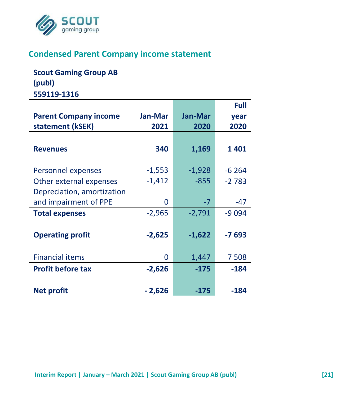

## **Condensed Parent Company income statement**

**Scout Gaming Group AB (publ) 559119-1316**

|                              |                |                | Full    |
|------------------------------|----------------|----------------|---------|
| <b>Parent Company income</b> | <b>Jan-Mar</b> | <b>Jan-Mar</b> | year    |
| statement (kSEK)             | 2021           | 2020           | 2020    |
|                              |                |                |         |
| <b>Revenues</b>              | 340            | 1,169          | 1401    |
|                              |                |                |         |
| Personnel expenses           | $-1,553$       | $-1,928$       | $-6264$ |
| Other external expenses      | $-1,412$       | $-855$         | $-2783$ |
| Depreciation, amortization   |                |                |         |
| and impairment of PPE        | 0              | $-7$           | -47     |
| <b>Total expenses</b>        | $-2,965$       | $-2,791$       | -9 0 94 |
|                              |                |                |         |
| <b>Operating profit</b>      | $-2,625$       | $-1,622$       | -7 693  |
|                              |                |                |         |
| <b>Financial items</b>       | 0              | 1,447          | 7508    |
| <b>Profit before tax</b>     | $-2,626$       | $-175$         | $-184$  |
|                              |                |                |         |
| <b>Net profit</b>            | $-2,626$       | $-175$         | $-184$  |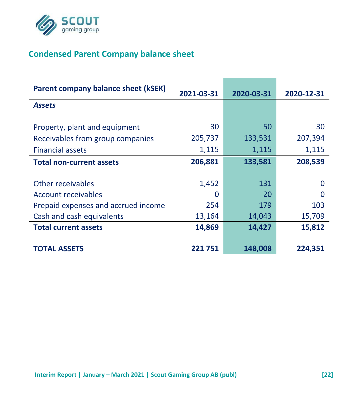

# **Condensed Parent Company balance sheet**

| Parent company balance sheet (kSEK) | 2021-03-31 | 2020-03-31 | 2020-12-31 |
|-------------------------------------|------------|------------|------------|
| <b>Assets</b>                       |            |            |            |
| Property, plant and equipment       | 30         | 50         | 30         |
| Receivables from group companies    | 205,737    | 133,531    | 207,394    |
| <b>Financial assets</b>             | 1,115      | 1,115      | 1,115      |
| <b>Total non-current assets</b>     | 206,881    | 133,581    | 208,539    |
|                                     |            |            |            |
| Other receivables                   | 1,452      | 131        | O          |
| Account receivables                 | O          | 20         | O          |
| Prepaid expenses and accrued income | 254        | 179        | 103        |
| Cash and cash equivalents           | 13,164     | 14,043     | 15,709     |
| <b>Total current assets</b>         | 14,869     | 14,427     | 15,812     |
| <b>TOTAL ASSETS</b>                 | 221751     | 148,008    | 224,351    |
|                                     |            |            |            |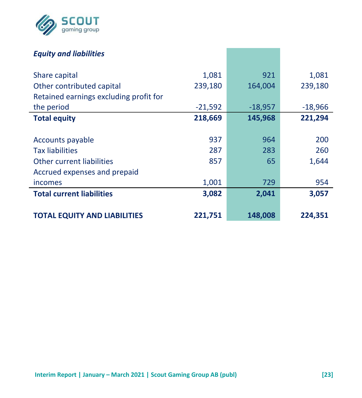

## *Equity and liabilities*

| Share capital                          | 1,081     | 921       | 1,081     |
|----------------------------------------|-----------|-----------|-----------|
| Other contributed capital              | 239,180   | 164,004   | 239,180   |
| Retained earnings excluding profit for |           |           |           |
| the period                             | $-21,592$ | $-18,957$ | $-18,966$ |
| <b>Total equity</b>                    | 218,669   | 145,968   | 221,294   |
|                                        |           |           |           |
| Accounts payable                       | 937       | 964       | 200       |
| <b>Tax liabilities</b>                 | 287       | 283       | 260       |
| Other current liabilities              | 857       | 65        | 1,644     |
| Accrued expenses and prepaid           |           |           |           |
| incomes                                | 1,001     | 729       | 954       |
| <b>Total current liabilities</b>       | 3,082     | 2,041     | 3,057     |
|                                        |           |           |           |
| <b>TOTAL EQUITY AND LIABILITIES</b>    | 221,751   | 148,008   | 224,351   |
|                                        |           |           |           |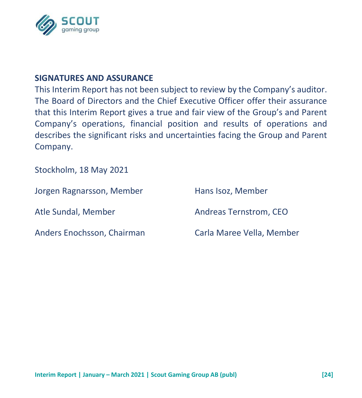

#### **SIGNATURES AND ASSURANCE**

This Interim Report has not been subject to review by the Company's auditor. The Board of Directors and the Chief Executive Officer offer their assurance that this Interim Report gives a true and fair view of the Group's and Parent Company's operations, financial position and results of operations and describes the significant risks and uncertainties facing the Group and Parent Company.

Stockholm, 18 May 2021

| Jorgen Ragnarsson, Member  | Hans Isoz, Member         |
|----------------------------|---------------------------|
| Atle Sundal, Member        | Andreas Ternstrom, CEO    |
| Anders Enochsson, Chairman | Carla Maree Vella, Member |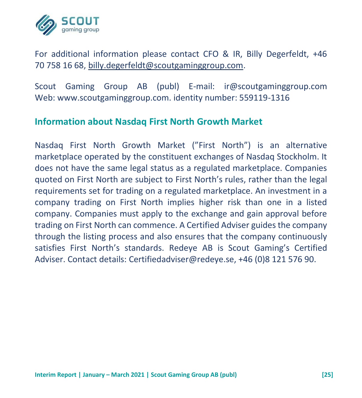

For additional information please contact CFO & IR, Billy Degerfeldt, +46 70 758 16 68, [billy.degerfeldt@scoutgaminggroup.com.](mailto:billy.degerfeldt@scoutgaminggroup.com)

Scout Gaming Group AB (publ) E-mail: ir@scoutgaminggroup.com Web: www.scoutgaminggroup.com. identity number: 559119-1316

#### **Information about Nasdaq First North Growth Market**

Nasdaq First North Growth Market ("First North") is an alternative marketplace operated by the constituent exchanges of Nasdaq Stockholm. It does not have the same legal status as a regulated marketplace. Companies quoted on First North are subject to First North's rules, rather than the legal requirements set for trading on a regulated marketplace. An investment in a company trading on First North implies higher risk than one in a listed company. Companies must apply to the exchange and gain approval before trading on First North can commence. A Certified Adviser guides the company through the listing process and also ensures that the company continuously satisfies First North's standards. Redeye AB is Scout Gaming's Certified Adviser. Contact details: Certifiedadviser@redeye.se, +46 (0)8 121 576 90.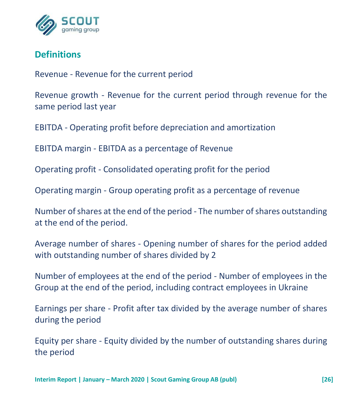

# **Definitions**

Revenue - Revenue for the current period

Revenue growth - Revenue for the current period through revenue for the same period last year

EBITDA - Operating profit before depreciation and amortization

EBITDA margin - EBITDA as a percentage of Revenue

Operating profit - Consolidated operating profit for the period

Operating margin - Group operating profit as a percentage of revenue

Number of shares at the end of the period - The number of shares outstanding at the end of the period.

Average number of shares - Opening number of shares for the period added with outstanding number of shares divided by 2

Number of employees at the end of the period - Number of employees in the Group at the end of the period, including contract employees in Ukraine

Earnings per share - Profit after tax divided by the average number of shares during the period

Equity per share - Equity divided by the number of outstanding shares during the period